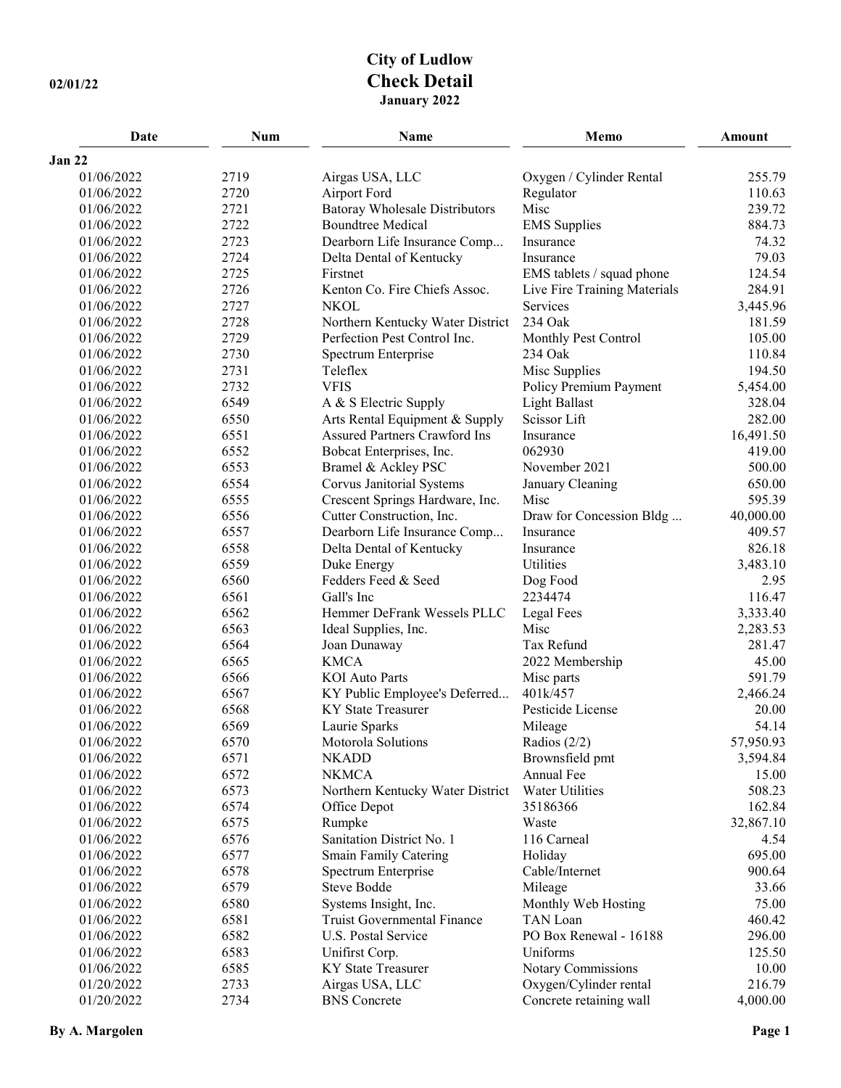## **City of Ludlow 02/01/22 Check Detail January 2022**

| Date       | Num  | Name                                  | Memo                         | <b>Amount</b> |
|------------|------|---------------------------------------|------------------------------|---------------|
| Jan 22     |      |                                       |                              |               |
| 01/06/2022 | 2719 | Airgas USA, LLC                       | Oxygen / Cylinder Rental     | 255.79        |
| 01/06/2022 | 2720 | Airport Ford                          | Regulator                    | 110.63        |
| 01/06/2022 | 2721 | <b>Batoray Wholesale Distributors</b> | Misc                         | 239.72        |
| 01/06/2022 | 2722 | <b>Boundtree Medical</b>              | <b>EMS</b> Supplies          | 884.73        |
| 01/06/2022 | 2723 | Dearborn Life Insurance Comp          | Insurance                    | 74.32         |
| 01/06/2022 | 2724 | Delta Dental of Kentucky              | Insurance                    | 79.03         |
| 01/06/2022 | 2725 | Firstnet                              | EMS tablets / squad phone    | 124.54        |
| 01/06/2022 | 2726 | Kenton Co. Fire Chiefs Assoc.         | Live Fire Training Materials | 284.91        |
| 01/06/2022 | 2727 | <b>NKOL</b>                           | Services                     | 3,445.96      |
| 01/06/2022 | 2728 | Northern Kentucky Water District      | 234 Oak                      | 181.59        |
| 01/06/2022 | 2729 | Perfection Pest Control Inc.          | Monthly Pest Control         | 105.00        |
| 01/06/2022 | 2730 | Spectrum Enterprise                   | 234 Oak                      | 110.84        |
| 01/06/2022 | 2731 | Teleflex                              | Misc Supplies                | 194.50        |
| 01/06/2022 | 2732 | <b>VFIS</b>                           | Policy Premium Payment       | 5,454.00      |
| 01/06/2022 | 6549 | A & S Electric Supply                 | <b>Light Ballast</b>         | 328.04        |
| 01/06/2022 | 6550 | Arts Rental Equipment & Supply        | Scissor Lift                 | 282.00        |
| 01/06/2022 | 6551 | <b>Assured Partners Crawford Ins</b>  | Insurance                    | 16,491.50     |
| 01/06/2022 | 6552 | Bobcat Enterprises, Inc.              | 062930                       | 419.00        |
| 01/06/2022 | 6553 | Bramel & Ackley PSC                   | November 2021                | 500.00        |
| 01/06/2022 | 6554 | Corvus Janitorial Systems             | January Cleaning             | 650.00        |
| 01/06/2022 | 6555 | Crescent Springs Hardware, Inc.       | Misc                         | 595.39        |
| 01/06/2022 | 6556 | Cutter Construction, Inc.             | Draw for Concession Bldg     | 40,000.00     |
| 01/06/2022 | 6557 | Dearborn Life Insurance Comp          | Insurance                    | 409.57        |
| 01/06/2022 | 6558 | Delta Dental of Kentucky              | Insurance                    | 826.18        |
| 01/06/2022 | 6559 | Duke Energy                           | Utilities                    | 3,483.10      |
| 01/06/2022 | 6560 | Fedders Feed & Seed                   | Dog Food                     | 2.95          |
| 01/06/2022 | 6561 | Gall's Inc                            | 2234474                      | 116.47        |
| 01/06/2022 | 6562 | Hemmer DeFrank Wessels PLLC           | Legal Fees                   | 3,333.40      |
| 01/06/2022 | 6563 | Ideal Supplies, Inc.                  | Misc                         | 2,283.53      |
| 01/06/2022 | 6564 | Joan Dunaway                          | Tax Refund                   | 281.47        |
| 01/06/2022 | 6565 | <b>KMCA</b>                           | 2022 Membership              | 45.00         |
| 01/06/2022 | 6566 | <b>KOI</b> Auto Parts                 | Misc parts                   | 591.79        |
| 01/06/2022 | 6567 | KY Public Employee's Deferred         | 401k/457                     | 2,466.24      |
| 01/06/2022 | 6568 | <b>KY</b> State Treasurer             | Pesticide License            | 20.00         |
| 01/06/2022 | 6569 | Laurie Sparks                         | Mileage                      | 54.14         |
| 01/06/2022 | 6570 | Motorola Solutions                    | Radios $(2/2)$               | 57,950.93     |
| 01/06/2022 | 6571 | <b>NKADD</b>                          | Brownsfield pmt              | 3,594.84      |
| 01/06/2022 | 6572 | <b>NKMCA</b>                          | Annual Fee                   | 15.00         |
| 01/06/2022 | 6573 | Northern Kentucky Water District      | Water Utilities              | 508.23        |
| 01/06/2022 | 6574 | Office Depot                          | 35186366                     | 162.84        |
| 01/06/2022 | 6575 | Rumpke                                | Waste                        | 32,867.10     |
| 01/06/2022 | 6576 | Sanitation District No. 1             | 116 Carneal                  | 4.54          |
| 01/06/2022 | 6577 | Smain Family Catering                 | Holiday                      | 695.00        |
| 01/06/2022 | 6578 | Spectrum Enterprise                   | Cable/Internet               | 900.64        |
| 01/06/2022 | 6579 | Steve Bodde                           | Mileage                      | 33.66         |
| 01/06/2022 | 6580 | Systems Insight, Inc.                 | Monthly Web Hosting          | 75.00         |
| 01/06/2022 | 6581 | Truist Governmental Finance           | TAN Loan                     | 460.42        |
| 01/06/2022 | 6582 | U.S. Postal Service                   | PO Box Renewal - 16188       | 296.00        |
| 01/06/2022 | 6583 | Unifirst Corp.                        | Uniforms                     | 125.50        |
| 01/06/2022 | 6585 | <b>KY</b> State Treasurer             | Notary Commissions           | 10.00         |
| 01/20/2022 | 2733 | Airgas USA, LLC                       | Oxygen/Cylinder rental       | 216.79        |
| 01/20/2022 | 2734 | <b>BNS</b> Concrete                   | Concrete retaining wall      | 4,000.00      |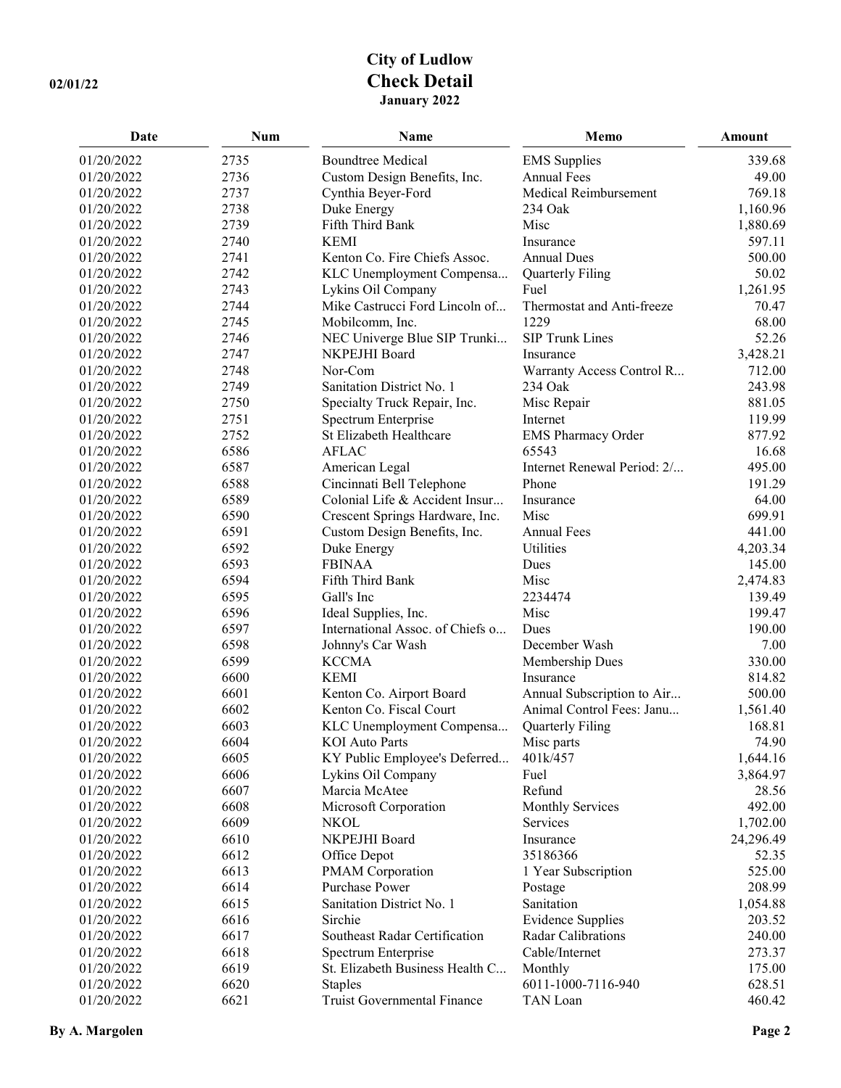## **City of Ludlow 02/01/22 Check Detail January 2022**

| <b>Date</b> | <b>Num</b> | Name                             | Memo                        | Amount    |
|-------------|------------|----------------------------------|-----------------------------|-----------|
| 01/20/2022  | 2735       | <b>Boundtree Medical</b>         | <b>EMS</b> Supplies         | 339.68    |
| 01/20/2022  | 2736       | Custom Design Benefits, Inc.     | <b>Annual Fees</b>          | 49.00     |
| 01/20/2022  | 2737       | Cynthia Beyer-Ford               | Medical Reimbursement       | 769.18    |
| 01/20/2022  | 2738       | Duke Energy                      | 234 Oak                     | 1,160.96  |
| 01/20/2022  | 2739       | Fifth Third Bank                 | Misc                        | 1,880.69  |
| 01/20/2022  | 2740       | <b>KEMI</b>                      | Insurance                   | 597.11    |
| 01/20/2022  | 2741       | Kenton Co. Fire Chiefs Assoc.    | <b>Annual Dues</b>          | 500.00    |
| 01/20/2022  | 2742       | KLC Unemployment Compensa        | Quarterly Filing            | 50.02     |
| 01/20/2022  | 2743       | Lykins Oil Company               | Fuel                        | 1,261.95  |
| 01/20/2022  | 2744       | Mike Castrucci Ford Lincoln of   | Thermostat and Anti-freeze  | 70.47     |
| 01/20/2022  | 2745       | Mobilcomm, Inc.                  | 1229                        | 68.00     |
| 01/20/2022  | 2746       | NEC Univerge Blue SIP Trunki     | SIP Trunk Lines             | 52.26     |
| 01/20/2022  | 2747       | NKPEJHI Board                    | Insurance                   | 3,428.21  |
| 01/20/2022  | 2748       | Nor-Com                          | Warranty Access Control R   | 712.00    |
| 01/20/2022  | 2749       | Sanitation District No. 1        | 234 Oak                     | 243.98    |
| 01/20/2022  | 2750       | Specialty Truck Repair, Inc.     | Misc Repair                 | 881.05    |
| 01/20/2022  | 2751       | Spectrum Enterprise              | Internet                    | 119.99    |
| 01/20/2022  | 2752       | St Elizabeth Healthcare          | <b>EMS Pharmacy Order</b>   | 877.92    |
| 01/20/2022  | 6586       | <b>AFLAC</b>                     | 65543                       | 16.68     |
| 01/20/2022  | 6587       | American Legal                   | Internet Renewal Period: 2/ | 495.00    |
| 01/20/2022  | 6588       | Cincinnati Bell Telephone        | Phone                       | 191.29    |
| 01/20/2022  | 6589       | Colonial Life & Accident Insur   | Insurance                   | 64.00     |
| 01/20/2022  | 6590       | Crescent Springs Hardware, Inc.  | Misc                        | 699.91    |
| 01/20/2022  | 6591       | Custom Design Benefits, Inc.     | <b>Annual Fees</b>          | 441.00    |
| 01/20/2022  | 6592       | Duke Energy                      | Utilities                   | 4,203.34  |
| 01/20/2022  | 6593       | <b>FBINAA</b>                    | Dues                        | 145.00    |
| 01/20/2022  | 6594       | Fifth Third Bank                 | Misc                        | 2,474.83  |
| 01/20/2022  | 6595       | Gall's Inc                       | 2234474                     | 139.49    |
| 01/20/2022  | 6596       | Ideal Supplies, Inc.             | Misc                        | 199.47    |
| 01/20/2022  | 6597       | International Assoc. of Chiefs o | Dues                        | 190.00    |
| 01/20/2022  | 6598       | Johnny's Car Wash                | December Wash               | 7.00      |
| 01/20/2022  | 6599       | <b>KCCMA</b>                     | Membership Dues             | 330.00    |
| 01/20/2022  | 6600       | <b>KEMI</b>                      | Insurance                   | 814.82    |
| 01/20/2022  | 6601       | Kenton Co. Airport Board         | Annual Subscription to Air  | 500.00    |
| 01/20/2022  | 6602       | Kenton Co. Fiscal Court          | Animal Control Fees: Janu   | 1,561.40  |
| 01/20/2022  | 6603       | KLC Unemployment Compensa        | Quarterly Filing            | 168.81    |
| 01/20/2022  | 6604       | KOI Auto Parts                   | Misc parts                  | 74.90     |
| 01/20/2022  | 6605       | KY Public Employee's Deferred    | 401k/457                    | 1,644.16  |
| 01/20/2022  | 6606       | Lykins Oil Company               | Fuel                        | 3,864.97  |
| 01/20/2022  | 6607       | Marcia McAtee                    | Refund                      | 28.56     |
| 01/20/2022  | 6608       | Microsoft Corporation            | <b>Monthly Services</b>     | 492.00    |
| 01/20/2022  | 6609       | <b>NKOL</b>                      | Services                    | 1,702.00  |
| 01/20/2022  | 6610       | NKPEJHI Board                    | Insurance                   | 24,296.49 |
| 01/20/2022  | 6612       | Office Depot                     | 35186366                    | 52.35     |
| 01/20/2022  | 6613       | PMAM Corporation                 | 1 Year Subscription         | 525.00    |
| 01/20/2022  | 6614       | Purchase Power                   | Postage                     | 208.99    |
| 01/20/2022  | 6615       | Sanitation District No. 1        | Sanitation                  | 1,054.88  |
| 01/20/2022  | 6616       | Sirchie                          | <b>Evidence Supplies</b>    | 203.52    |
| 01/20/2022  | 6617       | Southeast Radar Certification    | Radar Calibrations          | 240.00    |
| 01/20/2022  | 6618       | Spectrum Enterprise              | Cable/Internet              | 273.37    |
| 01/20/2022  | 6619       | St. Elizabeth Business Health C  | Monthly                     | 175.00    |
| 01/20/2022  | 6620       | <b>Staples</b>                   | 6011-1000-7116-940          | 628.51    |
| 01/20/2022  | 6621       | Truist Governmental Finance      | TAN Loan                    | 460.42    |
|             |            |                                  |                             |           |